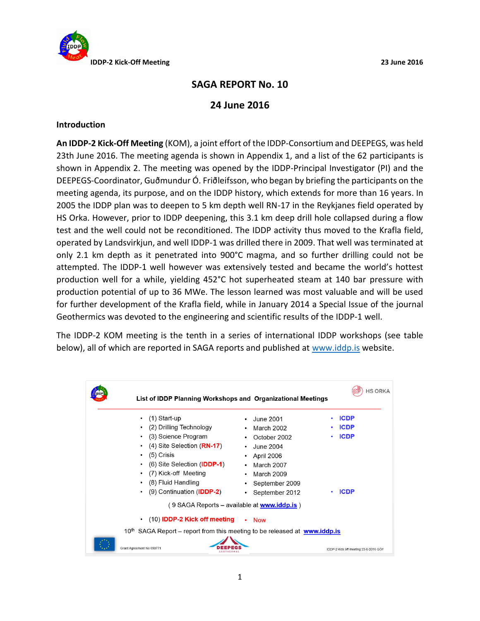

# **SAGA REPORT No. 10**

## **24 June 2016**

### **Introduction**

**An IDDP-2 Kick-Off Meeting** (KOM), a joint effort of the IDDP-Consortium and DEEPEGS, was held 23th June 2016. The meeting agenda is shown in Appendix 1, and a list of the 62 participants is shown in Appendix 2. The meeting was opened by the IDDP-Principal Investigator (PI) and the DEEPEGS-Coordinator, Guðmundur Ó. Friðleifsson, who began by briefing the participants on the meeting agenda, its purpose, and on the IDDP history, which extends for more than 16 years. In 2005 the IDDP plan was to deepen to 5 km depth well RN-17 in the Reykjanes field operated by HS Orka. However, prior to IDDP deepening, this 3.1 km deep drill hole collapsed during a flow test and the well could not be reconditioned. The IDDP activity thus moved to the Krafla field, operated by Landsvirkjun, and well IDDP-1 was drilled there in 2009. That well was terminated at only 2.1 km depth as it penetrated into 900°C magma, and so further drilling could not be attempted. The IDDP-1 well however was extensively tested and became the world's hottest production well for a while, yielding 452°C hot superheated steam at 140 bar pressure with production potential of up to 36 MWe. The lesson learned was most valuable and will be used for further development of the Krafla field, while in January 2014 a Special Issue of the journal Geothermics was devoted to the engineering and scientific results of the IDDP-1 well.

The IDDP-2 KOM meeting is the tenth in a series of international IDDP workshops (see table below), all of which are reported in SAGA reports and published at [www.iddp.is](http://www.iddp.is/) website.

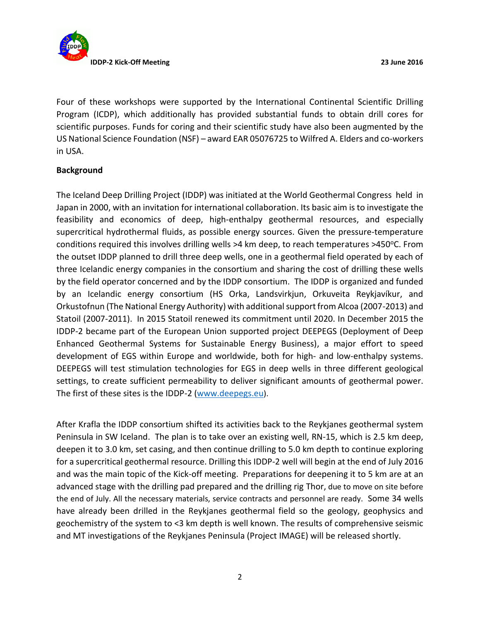

Four of these workshops were supported by the International Continental Scientific Drilling Program (ICDP), which additionally has provided substantial funds to obtain drill cores for scientific purposes. Funds for coring and their scientific study have also been augmented by the US National Science Foundation (NSF) – award EAR 05076725 to Wilfred A. Elders and co-workers in USA.

## **Background**

The Iceland Deep Drilling Project (IDDP) was initiated at the World Geothermal Congress held in Japan in 2000, with an invitation for international collaboration. Its basic aim is to investigate the feasibility and economics of deep, high-enthalpy geothermal resources, and especially supercritical hydrothermal fluids, as possible energy sources. Given the pressure-temperature conditions required this involves drilling wells  $>4$  km deep, to reach temperatures  $>450^{\circ}$ C. From the outset IDDP planned to drill three deep wells, one in a geothermal field operated by each of three Icelandic energy companies in the consortium and sharing the cost of drilling these wells by the field operator concerned and by the IDDP consortium. The IDDP is organized and funded by an Icelandic energy consortium (HS Orka, Landsvirkjun, Orkuveita Reykjavíkur, and Orkustofnun (The National Energy Authority) with additional support from Alcoa (2007-2013) and Statoil (2007-2011). In 2015 Statoil renewed its commitment until 2020. In December 2015 the IDDP-2 became part of the European Union supported project DEEPEGS (Deployment of Deep Enhanced Geothermal Systems for Sustainable Energy Business), a major effort to speed development of EGS within Europe and worldwide, both for high- and low-enthalpy systems. DEEPEGS will test stimulation technologies for EGS in deep wells in three different geological settings, to create sufficient permeability to deliver significant amounts of geothermal power. The first of these sites is the IDDP-2 [\(www.deepegs.eu](http://www.deepegs.eu/)).

After Krafla the IDDP consortium shifted its activities back to the Reykjanes geothermal system Peninsula in SW Iceland. The plan is to take over an existing well, RN-15, which is 2.5 km deep, deepen it to 3.0 km, set casing, and then continue drilling to 5.0 km depth to continue exploring for a supercritical geothermal resource. Drilling this IDDP-2 well will begin at the end of July 2016 and was the main topic of the Kick-off meeting. Preparations for deepening it to 5 km are at an advanced stage with the drilling pad prepared and the drilling rig Thor, due to move on site before the end of July. All the necessary materials, service contracts and personnel are ready. Some 34 wells have already been drilled in the Reykjanes geothermal field so the geology, geophysics and geochemistry of the system to <3 km depth is well known. The results of comprehensive seismic and MT investigations of the Reykjanes Peninsula (Project IMAGE) will be released shortly.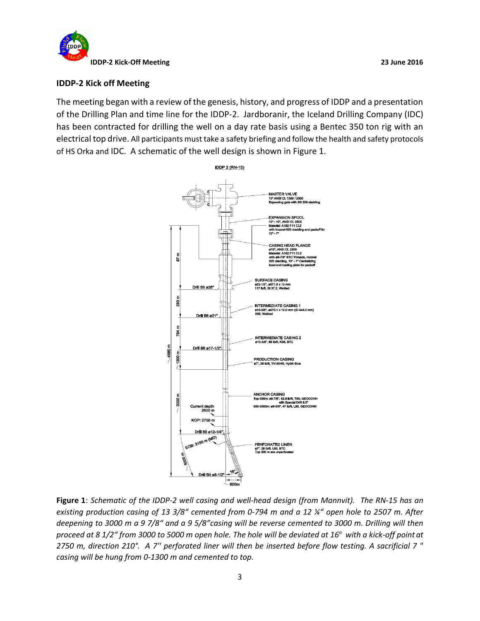

#### **IDDP-2 Kick off Meeting**

The meeting began with a review of the genesis, history, and progress of IDDP and a presentation of the Drilling Plan and time line for the IDDP-2. Jardboranir, the Iceland Drilling Company (IDC) has been contracted for drilling the well on a day rate basis using a Bentec 350 ton rig with an electrical top drive. All participants must take a safety briefing and follow the health and safety protocols of HS Orka and IDC. A schematic of the well design is shown in Figure 1.



**Figure 1**: *Schematic of the IDDP-2 well casing and well-head design (from Mannvit). The RN-15 has an existing production casing of 13 3/8" cemented from 0-794 m and a 12 ¼" open hole to 2507 m. After deepening to 3000 m a 9 7/8" and a 9 5/8"casing will be reverse cemented to 3000 m. Drilling will then proceed at 8 1/2" from 3000 to 5000 m open hole. The hole will be deviated at 16<sup>o</sup>with a kick-off point at 2750 m, direction 210°. A 7'' perforated liner will then be inserted before flow testing. A sacrificial 7 " casing will be hung from 0-1300 m and cemented to top.*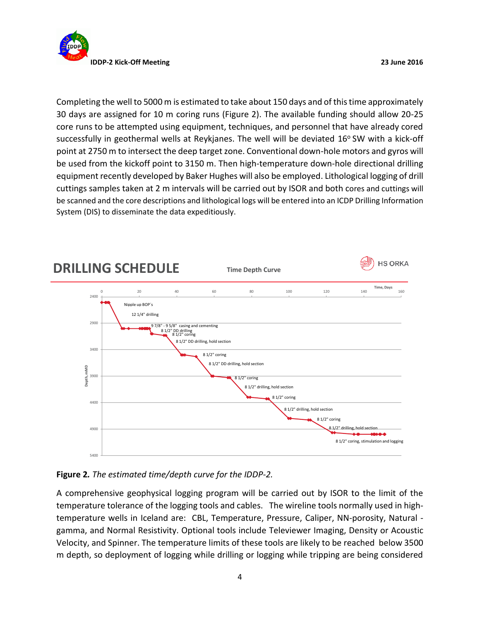

Completing the well to 5000 m is estimated to take about 150 days and of this time approximately 30 days are assigned for 10 m coring runs (Figure 2). The available funding should allow 20-25 core runs to be attempted using equipment, techniques, and personnel that have already cored successfully in geothermal wells at Reykjanes. The well will be deviated  $16^{\circ}$  SW with a kick-off point at 2750 m to intersect the deep target zone. Conventional down-hole motors and gyros will be used from the kickoff point to 3150 m. Then high-temperature down-hole directional drilling equipment recently developed by Baker Hughes will also be employed. Lithological logging of drill cuttings samples taken at 2 m intervals will be carried out by ISOR and both cores and cuttings will be scanned and the core descriptions and lithological logs will be entered into an ICDP Drilling Information System (DIS) to disseminate the data expeditiously.



# **Figure 2***. The estimated time/depth curve for the IDDP-2.*

A comprehensive geophysical logging program will be carried out by ISOR to the limit of the temperature tolerance of the logging tools and cables. The wireline tools normally used in hightemperature wells in Iceland are: CBL, Temperature, Pressure, Caliper, NN-porosity, Natural gamma, and Normal Resistivity. Optional tools include Televiewer Imaging, Density or Acoustic Velocity, and Spinner. The temperature limits of these tools are likely to be reached below 3500 m depth, so deployment of logging while drilling or logging while tripping are being considered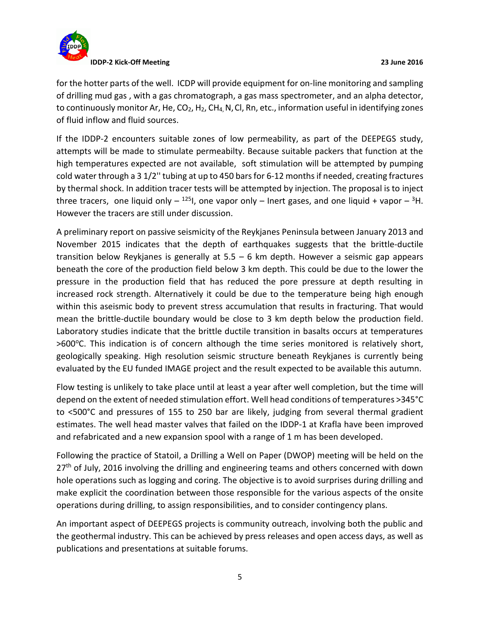

for the hotter parts of the well. ICDP will provide equipment for on-line monitoring and sampling of drilling mud gas , with a gas chromatograph, a gas mass spectrometer, and an alpha detector, to continuously monitor Ar, He,  $CO<sub>2</sub>$ , H<sub>2</sub>, CH<sub>4</sub>, N, Cl, Rn, etc., information useful in identifying zones of fluid inflow and fluid sources.

If the IDDP-2 encounters suitable zones of low permeability, as part of the DEEPEGS study, attempts will be made to stimulate permeabilty. Because suitable packers that function at the high temperatures expected are not available, soft stimulation will be attempted by pumping cold water through a 3 1/2'' tubing at up to 450 bars for 6-12 months if needed, creating fractures by thermal shock. In addition tracer tests will be attempted by injection. The proposal is to inject three tracers, one liquid only  $-$  <sup>125</sup>l, one vapor only  $-$  lnert gases, and one liquid + vapor  $-$  <sup>3</sup>H. However the tracers are still under discussion.

A preliminary report on passive seismicity of the Reykjanes Peninsula between January 2013 and November 2015 indicates that the depth of earthquakes suggests that the brittle-ductile transition below Reykjanes is generally at  $5.5 - 6$  km depth. However a seismic gap appears beneath the core of the production field below 3 km depth. This could be due to the lower the pressure in the production field that has reduced the pore pressure at depth resulting in increased rock strength. Alternatively it could be due to the temperature being high enough within this aseismic body to prevent stress accumulation that results in fracturing. That would mean the brittle-ductile boundary would be close to 3 km depth below the production field. Laboratory studies indicate that the brittle ductile transition in basalts occurs at temperatures  $>600^{\circ}$ C. This indication is of concern although the time series monitored is relatively short, geologically speaking. High resolution seismic structure beneath Reykjanes is currently being evaluated by the EU funded IMAGE project and the result expected to be available this autumn.

Flow testing is unlikely to take place until at least a year after well completion, but the time will depend on the extent of needed stimulation effort. Well head conditions of temperatures >345°C to <500°C and pressures of 155 to 250 bar are likely, judging from several thermal gradient estimates. The well head master valves that failed on the IDDP-1 at Krafla have been improved and refabricated and a new expansion spool with a range of 1 m has been developed.

Following the practice of Statoil, a Drilling a Well on Paper (DWOP) meeting will be held on the 27<sup>th</sup> of July, 2016 involving the drilling and engineering teams and others concerned with down hole operations such as logging and coring. The objective is to avoid surprises during drilling and make explicit the coordination between those responsible for the various aspects of the onsite operations during drilling, to assign responsibilities, and to consider contingency plans.

An important aspect of DEEPEGS projects is community outreach, involving both the public and the geothermal industry. This can be achieved by press releases and open access days, as well as publications and presentations at suitable forums.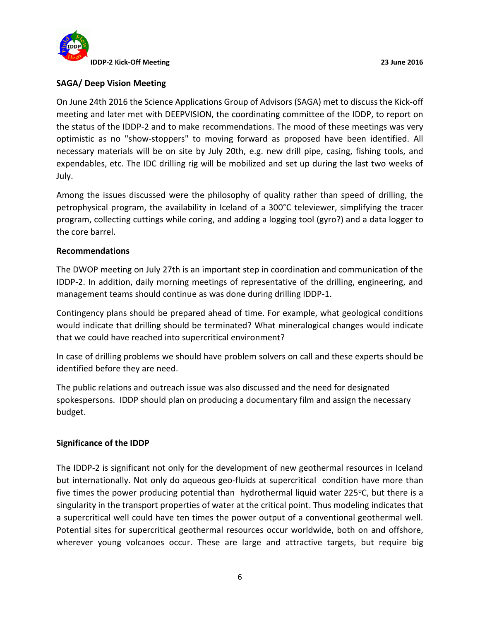

## **SAGA/ Deep Vision Meeting**

On June 24th 2016 the Science Applications Group of Advisors (SAGA) met to discuss the Kick-off meeting and later met with DEEPVISION, the coordinating committee of the IDDP, to report on the status of the IDDP-2 and to make recommendations. The mood of these meetings was very optimistic as no "show-stoppers" to moving forward as proposed have been identified. All necessary materials will be on site by July 20th, e.g. new drill pipe, casing, fishing tools, and expendables, etc. The IDC drilling rig will be mobilized and set up during the last two weeks of July.

Among the issues discussed were the philosophy of quality rather than speed of drilling, the petrophysical program, the availability in Iceland of a 300°C televiewer, simplifying the tracer program, collecting cuttings while coring, and adding a logging tool (gyro?) and a data logger to the core barrel.

#### **Recommendations**

The DWOP meeting on July 27th is an important step in coordination and communication of the IDDP-2. In addition, daily morning meetings of representative of the drilling, engineering, and management teams should continue as was done during drilling IDDP-1.

Contingency plans should be prepared ahead of time. For example, what geological conditions would indicate that drilling should be terminated? What mineralogical changes would indicate that we could have reached into supercritical environment?

In case of drilling problems we should have problem solvers on call and these experts should be identified before they are need.

The public relations and outreach issue was also discussed and the need for designated spokespersons. IDDP should plan on producing a documentary film and assign the necessary budget.

#### **Significance of the IDDP**

The IDDP-2 is significant not only for the development of new geothermal resources in Iceland but internationally. Not only do aqueous geo-fluids at supercritical condition have more than five times the power producing potential than hydrothermal liquid water 225 $\degree$ C, but there is a singularity in the transport properties of water at the critical point. Thus modeling indicates that a supercritical well could have ten times the power output of a conventional geothermal well. Potential sites for supercritical geothermal resources occur worldwide, both on and offshore, wherever young volcanoes occur. These are large and attractive targets, but require big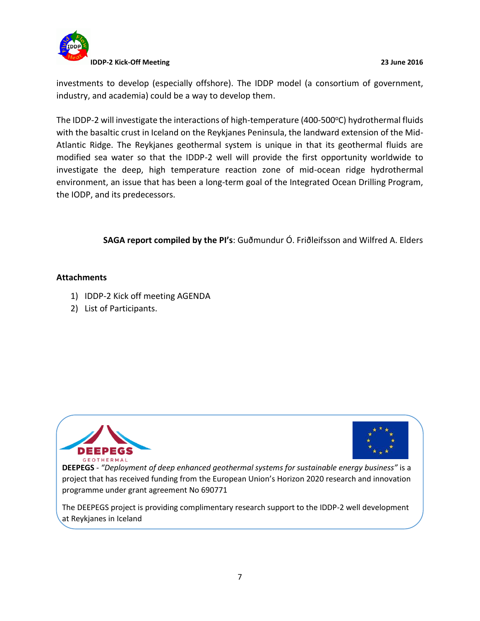

investments to develop (especially offshore). The IDDP model (a consortium of government, industry, and academia) could be a way to develop them.

The IDDP-2 will investigate the interactions of high-temperature (400-500°C) hydrothermal fluids with the basaltic crust in Iceland on the Reykjanes Peninsula, the landward extension of the Mid-Atlantic Ridge. The Reykjanes geothermal system is unique in that its geothermal fluids are modified sea water so that the IDDP-2 well will provide the first opportunity worldwide to investigate the deep, high temperature reaction zone of mid-ocean ridge hydrothermal environment, an issue that has been a long-term goal of the Integrated Ocean Drilling Program, the IODP, and its predecessors.

## **SAGA report compiled by the PI's**: Guðmundur Ó. Friðleifsson and Wilfred A. Elders

#### **Attachments**

- 1) IDDP-2 Kick off meeting AGENDA
- 2) List of Participants.





**DEEPEGS** - *"Deployment of deep enhanced geothermal systems for sustainable energy business"* is a project that has received funding from the European Union's Horizon 2020 research and innovation programme under grant agreement No 690771

The DEEPEGS project is providing complimentary research support to the IDDP-2 well development at Reykjanes in Iceland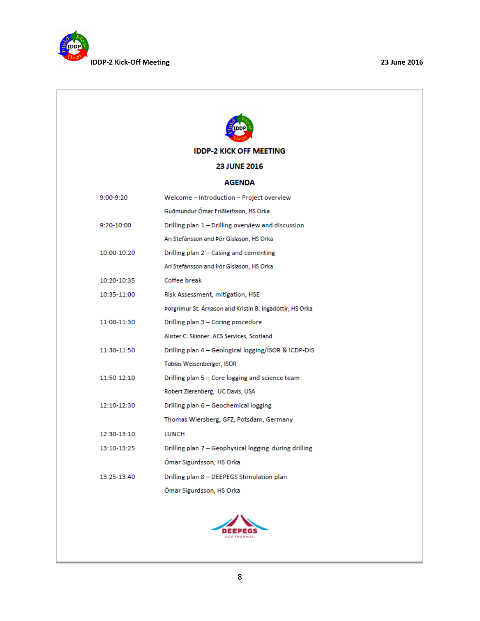



**IDDP-2 KICK OFF MEETING** 

#### 23 JUNE 2016

#### **AGENDA**

| 9:00-9:20   | Welcome - Introduction - Project overview                |  |
|-------------|----------------------------------------------------------|--|
|             | Guðmundur Ómar Friðleifsson, HS Orka                     |  |
| 9:20-10:00  | Drilling plan 1 - Drilling overview and discussion       |  |
|             | Ari Stefánsson and Pór Gíslason, HS Orka                 |  |
| 10:00-10:20 | Drilling plan 2 - Casing and cementing                   |  |
|             | Ari Stefánsson and Pór Gíslason, HS Orka                 |  |
| 10:20-10:35 | Coffee break                                             |  |
| 10:35-11:00 | Risk Assessment, mitigation, HSE                         |  |
|             | Porgrímur St. Árnason and Kristín B. Ingadóttir, HS Orka |  |
| 11:00-11:30 | Drilling plan 3 - Coring procedure                       |  |
|             | Alister C. Skinner. ACS Services, Scotland               |  |
| 11:30-11:50 | Drilling plan 4 - Geological logging/ISOR & ICDP-DIS     |  |
|             | <b>Tobias Weisenberger, ISOR</b>                         |  |
| 11:50-12:10 | Drilling plan 5 - Core logging and science team          |  |
|             | Robert Zierenberg, UC Davis, USA                         |  |
| 12:10-12:30 | Drilling plan 6 - Geochemical logging                    |  |
|             | Thomas Wiersberg, GFZ, Potsdam, Germany                  |  |
| 12:30-13:10 | <b>LUNCH</b>                                             |  |
| 13:10-13:25 | Drilling plan 7 - Geophysical logging during drilling    |  |
|             | Ómar Sigurdsson, HS Orka                                 |  |
| 13:25-13:40 | Drilling plan 8 - DEEPEGS Stimulation plan               |  |
|             | Ómar Sigurdsson, HS Orka                                 |  |

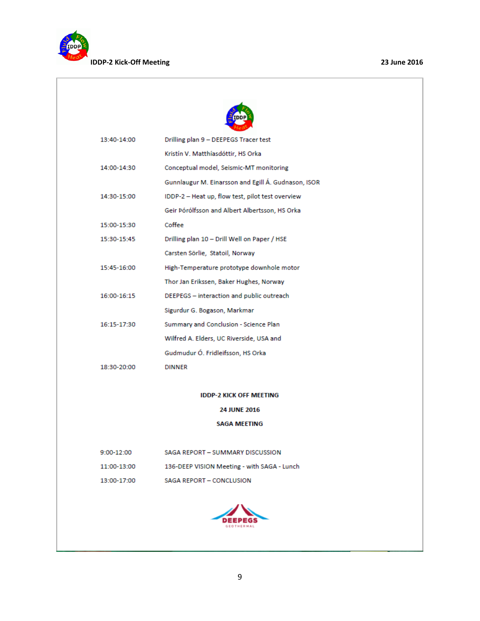

| 13:40-14:00         | Drilling plan 9 - DEEPEGS Tracer test               |  |
|---------------------|-----------------------------------------------------|--|
|                     | Kristín V. Matthíasdóttir, HS Orka                  |  |
| 14:00-14:30         | Conceptual model, Seismic-MT monitoring             |  |
|                     | Gunnlaugur M. Einarsson and Egill Á. Gudnason, ISOR |  |
| 14:30-15:00         | IDDP-2 - Heat up, flow test, pilot test overview    |  |
|                     | Geir Pórólfsson and Albert Albertsson, HS Orka      |  |
| 15:00-15:30         | Coffee                                              |  |
| 15:30-15:45         | Drilling plan 10 - Drill Well on Paper / HSE        |  |
|                     | Carsten Sörlie, Statoil, Norway                     |  |
| 15:45-16:00         | High-Temperature prototype downhole motor           |  |
|                     | Thor Jan Erikssen, Baker Hughes, Norway             |  |
| 16:00-16:15         | DEEPEGS - interaction and public outreach           |  |
|                     | Sigurdur G. Bogason, Markmar                        |  |
| 16:15-17:30         | Summary and Conclusion - Science Plan               |  |
|                     | Wilfred A. Elders, UC Riverside, USA and            |  |
|                     | Gudmudur Ó. Fridleifsson, HS Orka                   |  |
| 18:30-20:00         | <b>DINNER</b>                                       |  |
|                     |                                                     |  |
|                     | <b>IDDP-2 KICK OFF MEETING</b>                      |  |
| <b>24 JUNE 2016</b> |                                                     |  |
|                     | <b>SAGA MEETING</b>                                 |  |
|                     |                                                     |  |
| 9:00-12:00          | SAGA REPORT - SUMMARY DISCUSSION                    |  |
| 11:00-13:00         | 136-DEEP VISION Meeting - with SAGA - Lunch         |  |
| 13:00-17:00         | SAGA REPORT - CONCLUSION                            |  |
|                     |                                                     |  |
|                     |                                                     |  |

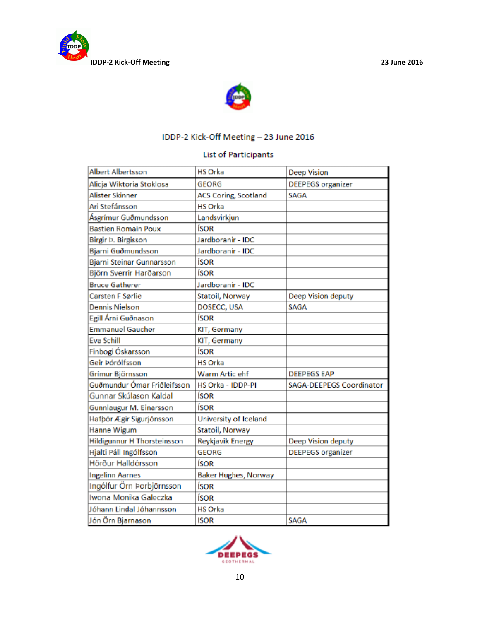



# IDDP-2 Kick-Off Meeting - 23 June 2016

## **List of Participants**

| Albert Albertsson                  | <b>HS Orka</b>              | <b>Deep Vision</b>        |
|------------------------------------|-----------------------------|---------------------------|
| Alicja Wiktoria Stoklosa           | <b>GEORG</b>                | <b>DEEPEGS</b> organizer  |
| Alister Skinner                    | <b>ACS Coring, Scotland</b> | SAGA                      |
| Ari Stefánsson                     | <b>HS Orka</b>              |                           |
| Ásgrímur Guðmundsson               | Landsvirkjun                |                           |
| <b>Bastien Romain Poux</b>         | ÍSOR                        |                           |
| Birgir Þ. Birgisson                | Jardboranir - IDC           |                           |
| Bjarni Guðmundsson                 | Jardboranir - IDC           |                           |
| Bjarni Steinar Gunnarsson          | ÍSOR                        |                           |
| Björn Sverrir Harðarson            | ÍSOR                        |                           |
| <b>Bruce Gatherer</b>              | Jardboranir - IDC           |                           |
| Carsten F Sørlie                   | Statoil, Norway             | Deep Vision deputy        |
| Dennis Nielson                     | DOSECC, USA                 | SAGA                      |
| Egill Árni Guðnason                | ÍSOR                        |                           |
| <b>Emmanuel Gaucher</b>            | KIT, Germany                |                           |
| Eva Schill                         | KIT, Germany                |                           |
| Finbogi Óskarsson                  | ÍSOR                        |                           |
| Geir Þórólfsson                    | <b>HS Orka</b>              |                           |
| Grímur Björnsson                   | Warm Artic ehf              | <b>DEEPEGS EAP</b>        |
| Guðmundur Ómar Friðleifsson        | HS Orka - IDDP-PI           | SAGA-DEEPEGS Coordinator  |
| Gunnar Skúlason Kaldal             | ÍSOR                        |                           |
| Gunnlaugur M. Einarsson            | ÍSOR                        |                           |
| Hafþór Ægir Sigurjónsson           | University of Iceland       |                           |
| Hanne Wigum                        | Statoil, Norway             |                           |
| <b>Hildigunnur H Thorsteinsson</b> | Reykjavik Energy            | <b>Deep Vision deputy</b> |
| Hjalti Páll Ingólfsson             | <b>GEORG</b>                | <b>DEEPEGS</b> organizer  |
| Hörður Halldórsson                 | ÍSOR                        |                           |
| <b>Ingelinn Aarnes</b>             | <b>Baker Hughes, Norway</b> |                           |
| Ingólfur Örn Porbjörnsson          | ÍSOR                        |                           |
| Iwona Monika Galeczka              | ÍSOR                        |                           |
| Jóhann Lindal Jóhannsson           | <b>HS Orka</b>              |                           |
| Jón Örn Bjarnason                  | <b>ISOR</b>                 | SAGA                      |